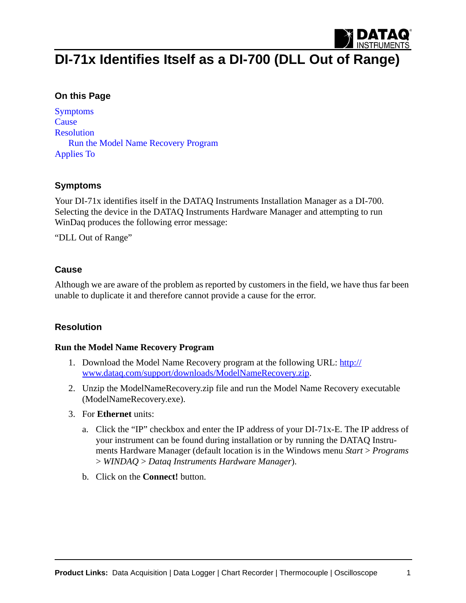

# **DI-71x Identifies Itself as a DI-700 (DLL Out of Range)**

### **On this Page**

[Symptoms](#page-0-0) **[Cause](#page-0-1)** [Resolution](#page-0-2) [Run the Model Name Recovery Program](#page-0-3) [Applies To](#page-2-0)

#### <span id="page-0-0"></span>**Symptoms**

Your DI-71x identifies itself in the DATAQ Instruments Installation Manager as a DI-700. Selecting the device in the DATAQ Instruments Hardware Manager and attempting to run WinDaq produces the following error message:

"DLL Out of Range"

#### <span id="page-0-1"></span>**Cause**

Although we are aware of the problem as reported by customers in the field, we have thus far been unable to duplicate it and therefore cannot provide a cause for the error.

#### <span id="page-0-2"></span>**Resolution**

#### <span id="page-0-3"></span>**Run the Model Name Recovery Program**

- 1. [Download the Model Name Recovery program at the following URL:](http://www.dataq.com/support/downloads/ModelNameRecovery.zip) http:// www.dataq.com/support/downloads/ModelNameRecovery.zip.
- 2. Unzip the ModelNameRecovery.zip file and run the Model Name Recovery executable (ModelNameRecovery.exe).
- 3. For **Ethernet** units:
	- a. Click the "IP" checkbox and enter the IP address of your DI-71x-E. The IP address of your instrument can be found during installation or by running the DATAQ Instruments Hardware Manager (default location is in the Windows menu *Start* > *Programs* > *WINDAQ* > *Dataq Instruments Hardware Manager*).
	- b. Click on the **Connect!** button.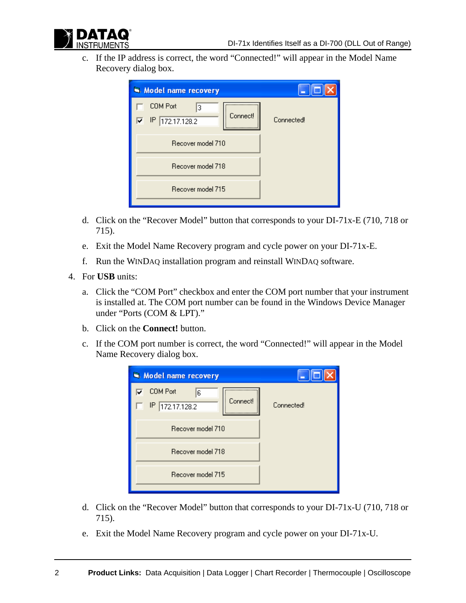

c. If the IP address is correct, the word "Connected!" will appear in the Model Name Recovery dialog box.

| Model name recovery                                    |                   |
|--------------------------------------------------------|-------------------|
| COM Port<br>З<br><b>Connect!</b><br>172.17.128.2<br>IP | <b>Connected!</b> |
| Recover model 710                                      |                   |
| Recover model 718                                      |                   |
| Recover model 715                                      |                   |

- d. Click on the "Recover Model" button that corresponds to your DI-71x-E (710, 718 or 715).
- e. Exit the Model Name Recovery program and cycle power on your DI-71x-E.
- f. Run the WINDAQ installation program and reinstall WINDAQ software.
- 4. For **USB** units:
	- a. Click the "COM Port" checkbox and enter the COM port number that your instrument is installed at. The COM port number can be found in the Windows Device Manager under "Ports (COM & LPT)."
	- b. Click on the **Connect!** button.
	- c. If the COM port number is correct, the word "Connected!" will appear in the Model Name Recovery dialog box.

| Model name recovery                                              |            |
|------------------------------------------------------------------|------------|
| <b>COM Port</b><br>6<br>◡<br>Connect!<br>172.17.128.2<br>IP.<br> | Connected! |
| Recover model 710                                                |            |
| Recover model 718                                                |            |
| Recover model 715                                                |            |

- d. Click on the "Recover Model" button that corresponds to your DI-71x-U (710, 718 or 715).
- e. Exit the Model Name Recovery program and cycle power on your DI-71x-U.